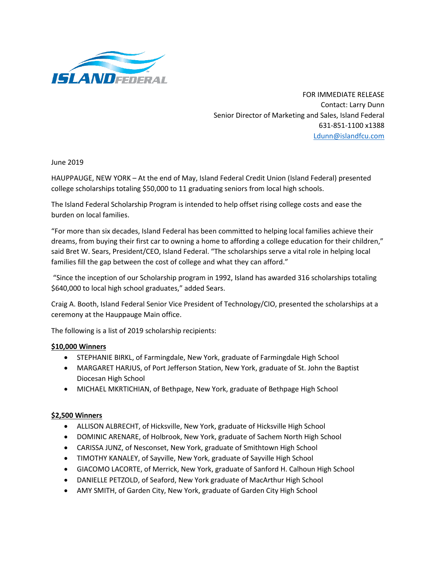

FOR IMMEDIATE RELEASE Contact: Larry Dunn Senior Director of Marketing and Sales, Island Federal 631-851-1100 x1388 [Ldunn@islandfcu.com](mailto:Ldunn@islandfcu.com)

June 2019

HAUPPAUGE, NEW YORK – At the end of May, Island Federal Credit Union (Island Federal) presented college scholarships totaling \$50,000 to 11 graduating seniors from local high schools.

The Island Federal Scholarship Program is intended to help offset rising college costs and ease the burden on local families.

"For more than six decades, Island Federal has been committed to helping local families achieve their dreams, from buying their first car to owning a home to affording a college education for their children," said Bret W. Sears, President/CEO, Island Federal. "The scholarships serve a vital role in helping local families fill the gap between the cost of college and what they can afford."

"Since the inception of our Scholarship program in 1992, Island has awarded 316 scholarships totaling \$640,000 to local high school graduates," added Sears.

Craig A. Booth, Island Federal Senior Vice President of Technology/CIO, presented the scholarships at a ceremony at the Hauppauge Main office.

The following is a list of 2019 scholarship recipients:

## **\$10,000 Winners**

- STEPHANIE BIRKL, of Farmingdale, New York, graduate of Farmingdale High School
- MARGARET HARJUS, of Port Jefferson Station, New York, graduate of St. John the Baptist Diocesan High School
- MICHAEL MKRTICHIAN, of Bethpage, New York, graduate of Bethpage High School

## **\$2,500 Winners**

- ALLISON ALBRECHT, of Hicksville, New York, graduate of Hicksville High School
- DOMINIC ARENARE, of Holbrook, New York, graduate of Sachem North High School
- CARISSA JUNZ, of Nesconset, New York, graduate of Smithtown High School
- TIMOTHY KANALEY, of Sayville, New York, graduate of Sayville High School
- GIACOMO LACORTE, of Merrick, New York, graduate of Sanford H. Calhoun High School
- DANIELLE PETZOLD, of Seaford, New York graduate of MacArthur High School
- AMY SMITH, of Garden City, New York, graduate of Garden City High School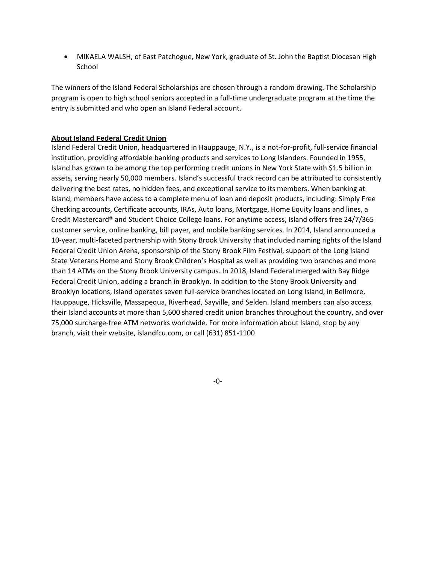• MIKAELA WALSH, of East Patchogue, New York, graduate of St. John the Baptist Diocesan High School

The winners of the Island Federal Scholarships are chosen through a random drawing. The Scholarship program is open to high school seniors accepted in a full-time undergraduate program at the time the entry is submitted and who open an Island Federal account.

## **About Island Federal Credit Union**

Island Federal Credit Union, headquartered in Hauppauge, N.Y., is a not-for-profit, full-service financial institution, providing affordable banking products and services to Long Islanders. Founded in 1955, Island has grown to be among the top performing credit unions in New York State with \$1.5 billion in assets, serving nearly 50,000 members. Island's successful track record can be attributed to consistently delivering the best rates, no hidden fees, and exceptional service to its members. When banking at Island, members have access to a complete menu of loan and deposit products, including: Simply Free Checking accounts, Certificate accounts, IRAs, Auto loans, Mortgage, Home Equity loans and lines, a Credit Mastercard® and Student Choice College loans. For anytime access, Island offers free 24/7/365 customer service, online banking, bill payer, and mobile banking services. In 2014, Island announced a 10-year, multi-faceted partnership with Stony Brook University that included naming rights of the Island Federal Credit Union Arena, sponsorship of the Stony Brook Film Festival, support of the Long Island State Veterans Home and Stony Brook Children's Hospital as well as providing two branches and more than 14 ATMs on the Stony Brook University campus. In 2018, Island Federal merged with Bay Ridge Federal Credit Union, adding a branch in Brooklyn. In addition to the Stony Brook University and Brooklyn locations, Island operates seven full-service branches located on Long Island, in Bellmore, Hauppauge, Hicksville, Massapequa, Riverhead, Sayville, and Selden. Island members can also access their Island accounts at more than 5,600 shared credit union branches throughout the country, and over 75,000 surcharge-free ATM networks worldwide. For more information about Island, stop by any branch, visit their website, islandfcu.com, or call (631) 851-1100

-0-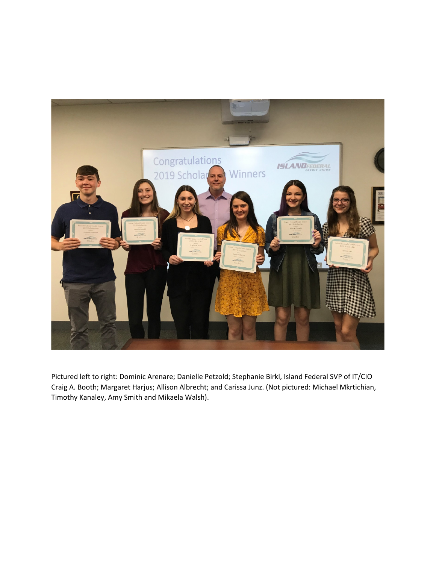

Pictured left to right: Dominic Arenare; Danielle Petzold; Stephanie Birkl, Island Federal SVP of IT/CIO Craig A. Booth; Margaret Harjus; Allison Albrecht; and Carissa Junz. (Not pictured: Michael Mkrtichian, Timothy Kanaley, Amy Smith and Mikaela Walsh).